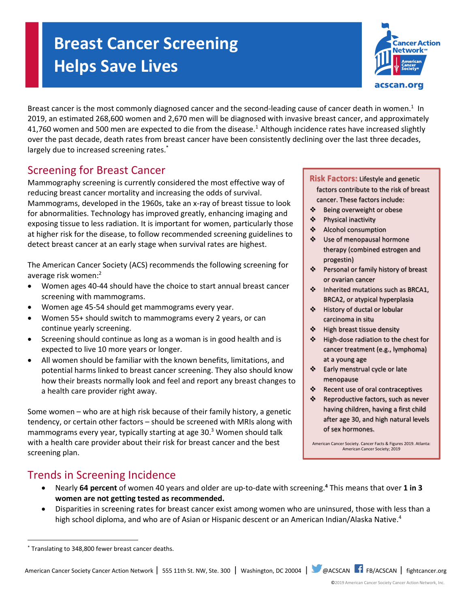# **Breast Cancer Screening Helps Save Lives**



Breast cancer is the most commonly diagnosed cancer and the second-leading cause of cancer death in women.<sup>1</sup> In 2019, an estimated 268,600 women and 2,670 men will be diagnosed with invasive breast cancer, and approximately 41,760 women and 500 men are expected to die from the disease.<sup>1</sup> Although incidence rates have increased slightly over the past decade, death rates from breast cancer have been consistently declining over the last three decades, largely due to increased screening rates.<sup>\*</sup>

## Screening for Breast Cancer

Mammography screening is currently considered the most effective way of reducing breast cancer mortality and increasing the odds of survival. Mammograms, developed in the 1960s, take an x-ray of breast tissue to look for abnormalities. Technology has improved greatly, enhancing imaging and exposing tissue to less radiation. It is important for women, particularly those at higher risk for the disease, to follow recommended screening guidelines to detect breast cancer at an early stage when survival rates are highest.

The American Cancer Society (ACS) recommends the following screening for average risk women:<sup>2</sup>

- Women ages 40-44 should have the choice to start annual breast cancer screening with mammograms.
- Women age 45-54 should get mammograms every year.
- Women 55+ should switch to mammograms every 2 years, or can continue yearly screening.
- Screening should continue as long as a woman is in good health and is expected to live 10 more years or longer.
- All women should be familiar with the known benefits, limitations, and potential harms linked to breast cancer screening. They also should know how their breasts normally look and feel and report any breast changes to a health care provider right away.

Some women – who are at high risk because of their family history, a genetic tendency, or certain other factors – should be screened with MRIs along with mammograms every year, typically starting at age 30. <sup>3</sup> Women should talk with a health care provider about their risk for breast cancer and the best screening plan.

#### **Risk Factors:** Lifestyle and genetic factors contribute to the risk of breast cancer. These factors include:

- ❖ Being overweight or obese
- ❖ Physical inactivity
- ❖ Alcohol consumption
- ❖ Use of menopausal hormone therapy (combined estrogen and progestin)
- ❖ Personal or family history of breast or ovarian cancer
- ❖ Inherited mutations such as BRCA1, BRCA2, or atypical hyperplasia
- ❖ History of ductal or lobular carcinoma in situ
- ❖ High breast tissue density
- ❖ High-dose radiation to the chest for cancer treatment (e.g., lymphoma) at a young age
- ❖ Early menstrual cycle or late menopause
- ❖ Recent use of oral contraceptives
- ❖ Reproductive factors, such as never having children, having a first child after age 30, and high natural levels of sex hormones.

American Cancer Society. Cancer Facts & Figures 2019. Atlanta: American Cancer Society; 2019

## Trends in Screening Incidence

- Nearly **64 percent** of women 40 years and older are up-to-date with screening.**<sup>4</sup>** This means that over **1 in 3 women are not getting tested as recommended.**
- Disparities in screening rates for breast cancer exist among women who are uninsured, those with less than a high school diploma, and who are of Asian or Hispanic descent or an American Indian/Alaska Native.<sup>4</sup>

l

American Cancer Society Cancer Action Network | 555 11th St. NW, Ste. 300 | Washington, DC 20004 | @ACSCAN | FB/ACSCAN | fightcancer.org

©2019 American Cancer Society Cancer Action Network, Inc.

<sup>\*</sup> Translating to 348,800 fewer breast cancer deaths.